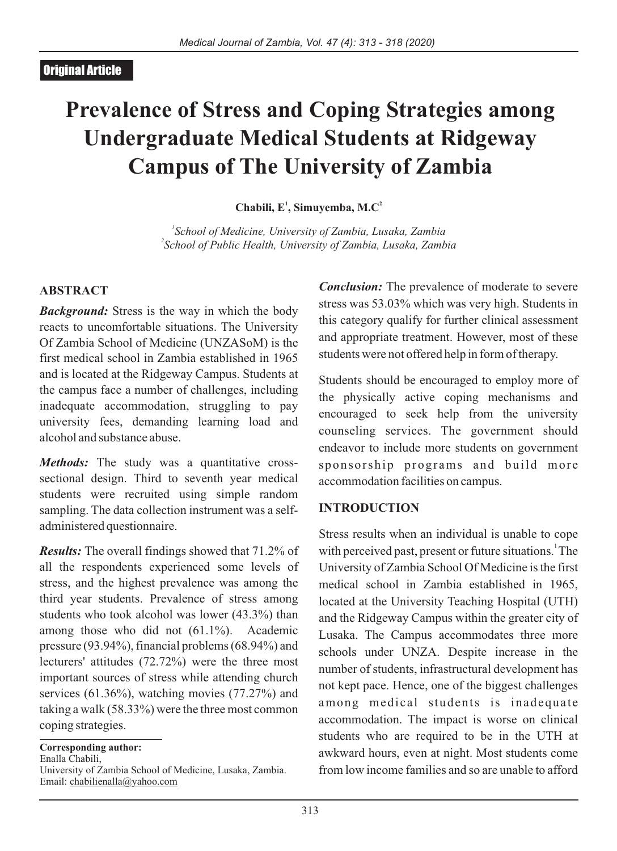# **Prevalence of Stress and Coping Strategies among Undergraduate Medical Students at Ridgeway Campus of The University of Zambia**

**<sup>1</sup> <sup>2</sup> Chabili, E , Simuyemba, M.C**

*1 School of Medicine, University of Zambia, Lusaka, Zambia 2 School of Public Health, University of Zambia, Lusaka, Zambia*

#### **ABSTRACT**

*Background:* Stress is the way in which the body reacts to uncomfortable situations. The University Of Zambia School of Medicine (UNZASoM) is the first medical school in Zambia established in 1965 and is located at the Ridgeway Campus. Students at the campus face a number of challenges, including inadequate accommodation, struggling to pay university fees, demanding learning load and alcohol and substance abuse.

*Methods:* The study was a quantitative crosssectional design. Third to seventh year medical students were recruited using simple random sampling. The data collection instrument was a selfadministered questionnaire.

*Results:* The overall findings showed that 71.2% of all the respondents experienced some levels of stress, and the highest prevalence was among the third year students. Prevalence of stress among students who took alcohol was lower (43.3%) than among those who did not (61.1%). Academic pressure (93.94%), financial problems (68.94%) and lecturers' attitudes (72.72%) were the three most important sources of stress while attending church services (61.36%), watching movies (77.27%) and taking a walk (58.33%) were the three most common coping strategies.

**Corresponding author:** 

Enalla Chabili,

University of Zambia School of Medicine, Lusaka, Zambia. Email: chabilienalla@yahoo.com

*Conclusion:* The prevalence of moderate to severe stress was 53.03% which was very high. Students in this category qualify for further clinical assessment and appropriate treatment. However, most of these students were not offered help in form of therapy.

Students should be encouraged to employ more of the physically active coping mechanisms and encouraged to seek help from the university counseling services. The government should endeavor to include more students on government sponsorship programs and build more accommodation facilities on campus.

#### **INTRODUCTION**

Stress results when an individual is unable to cope with perceived past, present or future situations. The University of Zambia School Of Medicine is the first medical school in Zambia established in 1965, located at the University Teaching Hospital (UTH) and the Ridgeway Campus within the greater city of Lusaka. The Campus accommodates three more schools under UNZA. Despite increase in the number of students, infrastructural development has not kept pace. Hence, one of the biggest challenges among medical students is inadequate accommodation. The impact is worse on clinical students who are required to be in the UTH at awkward hours, even at night. Most students come from low income families and so are unable to afford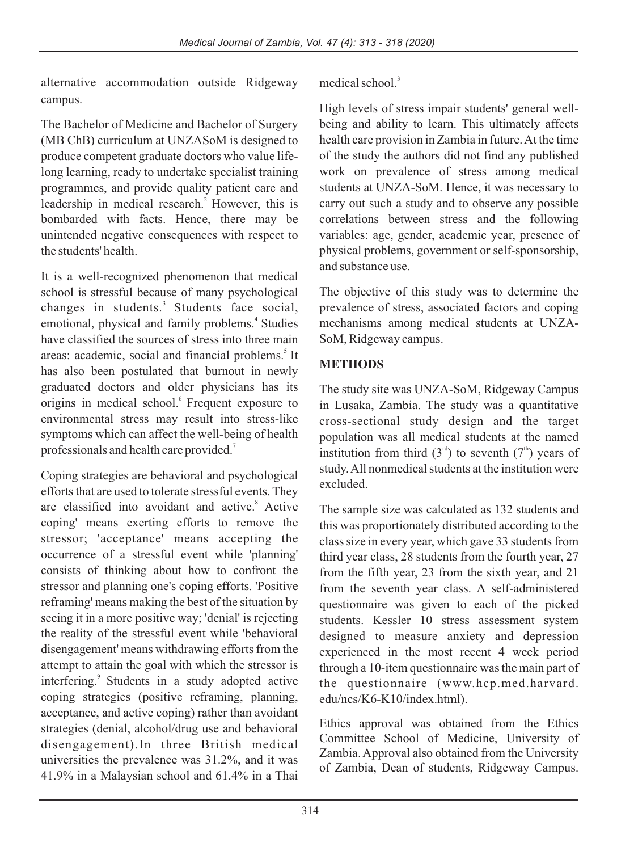alternative accommodation outside Ridgeway campus.

The Bachelor of Medicine and Bachelor of Surgery (MB ChB) curriculum at UNZASoM is designed to produce competent graduate doctors who value lifelong learning, ready to undertake specialist training programmes, and provide quality patient care and leadership in medical research.<sup>2</sup> However, this is bombarded with facts. Hence, there may be unintended negative consequences with respect to the students' health.

It is a well-recognized phenomenon that medical school is stressful because of many psychological changes in students.<sup>3</sup> Students face social, emotional, physical and family problems.<sup>4</sup> Studies have classified the sources of stress into three main areas: academic, social and financial problems.<sup>5</sup> It has also been postulated that burnout in newly graduated doctors and older physicians has its origins in medical school.<sup>6</sup> Frequent exposure to environmental stress may result into stress-like symptoms which can affect the well-being of health professionals and health care provided.<sup>7</sup>

Coping strategies are behavioral and psychological efforts that are used to tolerate stressful events. They are classified into avoidant and active.<sup>8</sup> Active coping' means exerting efforts to remove the stressor; 'acceptance' means accepting the occurrence of a stressful event while 'planning' consists of thinking about how to confront the stressor and planning one's coping efforts. 'Positive reframing' means making the best of the situation by seeing it in a more positive way; 'denial' is rejecting the reality of the stressful event while 'behavioral disengagement' means withdrawing efforts from the attempt to attain the goal with which the stressor is interfering.<sup>9</sup> Students in a study adopted active coping strategies (positive reframing, planning, acceptance, and active coping) rather than avoidant strategies (denial, alcohol/drug use and behavioral disengagement).In three British medical universities the prevalence was 31.2%, and it was 41.9% in a Malaysian school and 61.4% in a Thai

medical school. $3$ 

High levels of stress impair students' general wellbeing and ability to learn. This ultimately affects health care provision in Zambia in future. At the time of the study the authors did not find any published work on prevalence of stress among medical students at UNZA-SoM. Hence, it was necessary to carry out such a study and to observe any possible correlations between stress and the following variables: age, gender, academic year, presence of physical problems, government or self-sponsorship, and substance use.

The objective of this study was to determine the prevalence of stress, associated factors and coping mechanisms among medical students at UNZA-SoM, Ridgeway campus.

## **METHODS**

The study site was UNZA-SoM, Ridgeway Campus in Lusaka, Zambia. The study was a quantitative cross-sectional study design and the target population was all medical students at the named institution from third  $(3<sup>rd</sup>)$  to seventh  $(7<sup>th</sup>)$  years of study. All nonmedical students at the institution were excluded.

The sample size was calculated as 132 students and this was proportionately distributed according to the class size in every year, which gave 33 students from third year class, 28 students from the fourth year, 27 from the fifth year, 23 from the sixth year, and 21 from the seventh year class. A self-administered questionnaire was given to each of the picked students. Kessler 10 stress assessment system designed to measure anxiety and depression experienced in the most recent 4 week period through a 10-item questionnaire was the main part of the questionnaire (www.hcp.med.harvard. edu/ncs/K6-K10/index.html).

Ethics approval was obtained from the Ethics Committee School of Medicine, University of Zambia. Approval also obtained from the University of Zambia, Dean of students, Ridgeway Campus.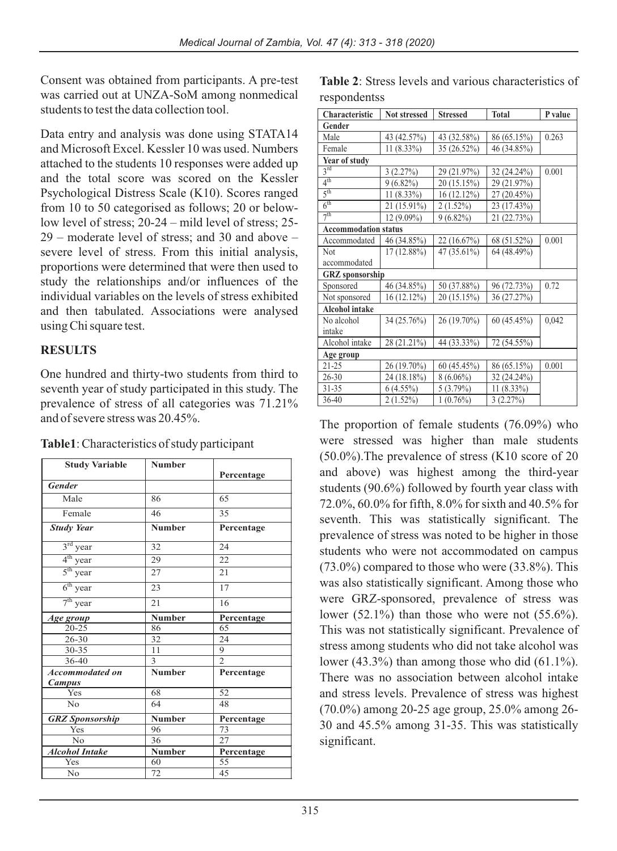Consent was obtained from participants. A pre-test was carried out at UNZA-SoM among nonmedical students to test the data collection tool.

Data entry and analysis was done using STATA14 and Microsoft Excel. Kessler 10 was used. Numbers attached to the students 10 responses were added up and the total score was scored on the Kessler Psychological Distress Scale (K10). Scores ranged from 10 to 50 categorised as follows; 20 or belowlow level of stress; 20-24 – mild level of stress; 25- 29 – moderate level of stress; and 30 and above – severe level of stress. From this initial analysis, proportions were determined that were then used to study the relationships and/or influences of the individual variables on the levels of stress exhibited and then tabulated. Associations were analysed using Chi square test.

### **RESULTS**

One hundred and thirty-two students from third to seventh year of study participated in this study. The prevalence of stress of all categories was 71.21% and of severe stress was 20.45%.

| Table1: Characteristics of study participant |  |
|----------------------------------------------|--|
|----------------------------------------------|--|

| <b>Study Variable</b>  | <b>Number</b> |                |
|------------------------|---------------|----------------|
| <b>Gender</b>          |               | Percentage     |
| Male                   | 86            | 65             |
|                        |               |                |
| Female                 | 46            | 35             |
| <b>Study Year</b>      | <b>Number</b> | Percentage     |
| $3rd$ year             | 32            | 24             |
| $4th$ year             | 29            | 22             |
| $5th$ year             | 27            | 21             |
| $6th$ year             | 23            | 17             |
| $7th$ year             | 21            | 16             |
| Age group              | <b>Number</b> | Percentage     |
| $20 - 25$              | 86            | 65             |
| $26 - 30$              | 32            | 24             |
| $30 - 35$              | 11            | 9              |
| 36-40                  | 3             | $\mathfrak{D}$ |
| <b>Accommodated on</b> | <b>Number</b> | Percentage     |
| <b>Campus</b>          |               |                |
| Yes                    | 68            | 52             |
| No                     | 64            | 48             |
| <b>GRZ</b> Sponsorship | <b>Number</b> | Percentage     |
| Yes                    | 96            | 73             |
| N <sub>0</sub>         | 36            | 27             |
| <b>Alcohol Intake</b>  | <b>Number</b> | Percentage     |
| Yes                    | 60            | 55             |
| No                     | 72            | 45             |

**Table 2**: Stress levels and various characteristics of respondentss

| Characteristic              | <b>Not stressed</b> | <b>Stressed</b> | <b>Total</b>   | P value |  |
|-----------------------------|---------------------|-----------------|----------------|---------|--|
| Gender                      |                     |                 |                |         |  |
| Male                        | 43 (42.57%)         | 43 (32.58%)     | 86 (65.15%)    | 0.263   |  |
| Female                      | $11(8.33\%)$        | $35(26.52\%)$   | 46 (34.85%)    |         |  |
| Year of study               |                     |                 |                |         |  |
| $3^{\text{rd}}$             | 3(2.27%)            | 29 (21.97%)     | 32 (24.24%)    | 0.001   |  |
| $4^{\rm th}$                | $9(6.82\%)$         | 20 (15.15%)     | 29 (21.97%)    |         |  |
| 5 <sup>th</sup>             | $11(8.33\%)$        | 16 (12.12%)     | (20.45%)<br>27 |         |  |
| $6^{\text{th}}$             | 21 (15.91%)         | $2(1.52\%)$     | 23 (17.43%)    |         |  |
| 7 <sup>th</sup>             | $12(9.09\%)$        | $9(6.82\%)$     | 21 (22.73%)    |         |  |
| <b>Accommodation status</b> |                     |                 |                |         |  |
| Accommodated                | 46 (34.85%)         | 22 (16.67%)     | 68 (51.52%)    | 0.001   |  |
| Not                         | $17(12.88\%)$       | $47(35.61\%)$   | 64 (48.49%)    |         |  |
| accommodated                |                     |                 |                |         |  |
| <b>GRZ</b> sponsorship      |                     |                 |                |         |  |
| Sponsored                   | 46 (34.85%)         | 50 (37.88%)     | 96 (72.73%)    | 0.72    |  |
| Not sponsored               | 16 (12.12%)         | 20 (15.15%)     | 36 (27.27%)    |         |  |
| <b>Alcohol intake</b>       |                     |                 |                |         |  |
| No alcohol                  | 34 (25.76%)         | $26(19.70\%)$   | 60 (45.45%)    | 0,042   |  |
| intake                      |                     |                 |                |         |  |
| Alcohol intake              | 28 (21.21%)         | 44 (33.33%)     | 72 (54.55%)    |         |  |
| Age group                   |                     |                 |                |         |  |
| $21 - 25$                   | 26 (19.70%)         | 60 (45.45%)     | 86 (65.15%)    | 0.001   |  |
| $26 - 30$                   | 24 (18.18%)         | $8(6.06\%)$     | 32 (24.24%)    |         |  |
| $31 - 35$                   | $6(4.55\%)$         | 5(3.79%)        | 11 (8.33%)     |         |  |
| $36-40$                     | $2(1.52\%)$         | $1(0.76\%)$     | 3(2.27%)       |         |  |

The proportion of female students (76.09%) who were stressed was higher than male students (50.0%).The prevalence of stress (K10 score of 20 and above) was highest among the third-year students (90.6%) followed by fourth year class with 72.0%, 60.0% for fifth, 8.0% for sixth and 40.5% for seventh. This was statistically significant. The prevalence of stress was noted to be higher in those students who were not accommodated on campus (73.0%) compared to those who were (33.8%). This was also statistically significant. Among those who were GRZ-sponsored, prevalence of stress was lower  $(52.1\%)$  than those who were not  $(55.6\%)$ . This was not statistically significant. Prevalence of stress among students who did not take alcohol was lower (43.3%) than among those who did (61.1%). There was no association between alcohol intake and stress levels. Prevalence of stress was highest (70.0%) among 20-25 age group, 25.0% among 26- 30 and 45.5% among 31-35. This was statistically significant.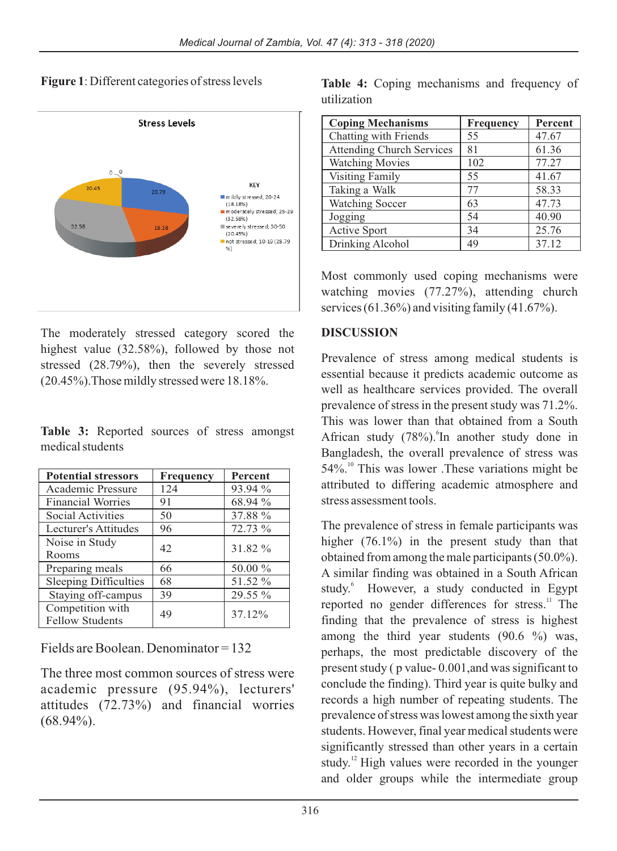**Figure 1**: Different categories of stress levels



The moderately stressed category scored the highest value (32.58%), followed by those not stressed (28.79%), then the severely stressed (20.45%).Those mildly stressed were 18.18%.

**Table 3:** Reported sources of stress amongst medical students

| <b>Potential stressors</b>   | <b>Frequency</b> | Percent |  |
|------------------------------|------------------|---------|--|
| Academic Pressure            | 124              | 93.94 % |  |
| <b>Financial Worries</b>     | 91               | 68.94 % |  |
| Social Activities            | 50               | 37.88 % |  |
| Lecturer's Attitudes         | 96               | 72.73 % |  |
| Noise in Study               | 42               | 31.82 % |  |
| Rooms                        |                  |         |  |
| Preparing meals              | 66               | 50.00 % |  |
| <b>Sleeping Difficulties</b> | 68               | 51.52 % |  |
| Staying off-campus           | 39               | 29.55 % |  |
| Competition with             | 49               | 37.12%  |  |
| <b>Fellow Students</b>       |                  |         |  |

Fields are Boolean. Denominator = 132

The three most common sources of stress were academic pressure (95.94%), lecturers' attitudes (72.73%) and financial worries  $(68.94\%).$ 

**Table 4:** Coping mechanisms and frequency of utilization

| <b>Coping Mechanisms</b>         | <b>Frequency</b> | Percent |
|----------------------------------|------------------|---------|
| Chatting with Friends            | 55               | 47.67   |
| <b>Attending Church Services</b> | 81               | 61.36   |
| <b>Watching Movies</b>           | 102              | 77.27   |
| <b>Visiting Family</b>           | 55               | 41.67   |
| Taking a Walk                    | 77               | 58.33   |
| <b>Watching Soccer</b>           | 63               | 47.73   |
| Jogging                          | 54               | 40.90   |
| Active Sport                     | 34               | 25.76   |
| Drinking Alcohol                 | 49               | 37.12   |

Most commonly used coping mechanisms were watching movies (77.27%), attending church services (61.36%) and visiting family (41.67%).

### **DISCUSSION**

Prevalence of stress among medical students is essential because it predicts academic outcome as well as healthcare services provided. The overall prevalence of stress in the present study was 71.2%. This was lower than that obtained from a South African study  $(78\%)$ . In another study done in Bangladesh, the overall prevalence of stress was  $54\%$ .<sup>10</sup> This was lower .These variations might be attributed to differing academic atmosphere and stress assessment tools.

The prevalence of stress in female participants was higher (76.1%) in the present study than that obtained from among the male participants (50.0%). A similar finding was obtained in a South African study.<sup>6</sup> However, a study conducted in Egypt reported no gender differences for stress.<sup>11</sup> The finding that the prevalence of stress is highest among the third year students (90.6 %) was, perhaps, the most predictable discovery of the present study ( p value- 0.001,and was significant to conclude the finding). Third year is quite bulky and records a high number of repeating students. The prevalence of stress was lowest among the sixth year students. However, final year medical students were significantly stressed than other years in a certain study. $\frac{12}{12}$  High values were recorded in the younger and older groups while the intermediate group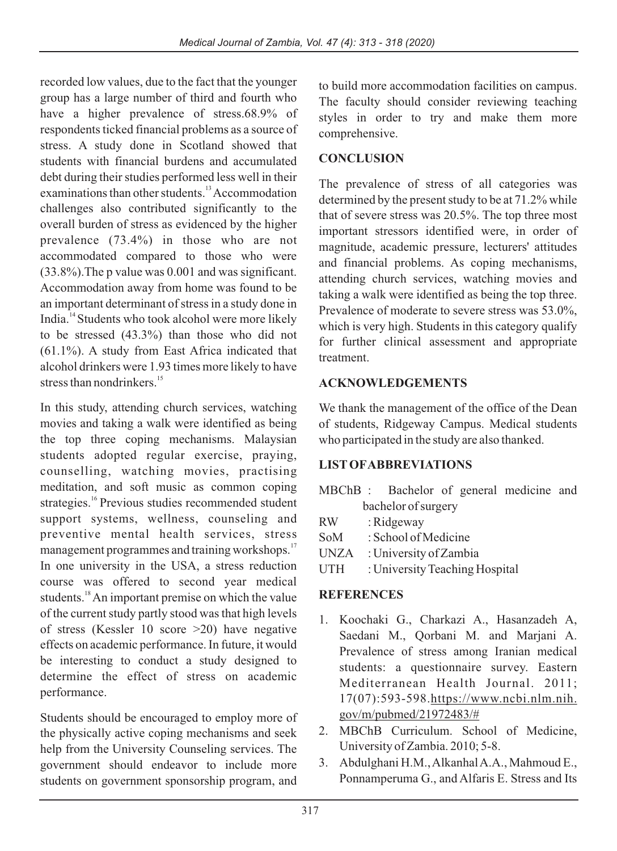recorded low values, due to the fact that the younger group has a large number of third and fourth who have a higher prevalence of stress.68.9% of respondents ticked financial problems as a source of stress. A study done in Scotland showed that students with financial burdens and accumulated debt during their studies performed less well in their examinations than other students.<sup>13</sup> Accommodation challenges also contributed significantly to the overall burden of stress as evidenced by the higher prevalence (73.4%) in those who are not accommodated compared to those who were (33.8%).The p value was 0.001 and was significant. Accommodation away from home was found to be an important determinant of stress in a study done in India.<sup>14</sup> Students who took alcohol were more likely to be stressed (43.3%) than those who did not  $(61.1\%)$ . A study from East Africa indicated that alcohol drinkers were 1.93 times more likely to have stress than nondrinkers.<sup>15</sup>

In this study, attending church services, watching movies and taking a walk were identified as being the top three coping mechanisms. Malaysian students adopted regular exercise, praying, counselling, watching movies, practising meditation, and soft music as common coping strategies.<sup>16</sup> Previous studies recommended student support systems, wellness, counseling and preventive mental health services, stress management programmes and training workshops.<sup>17</sup> In one university in the USA, a stress reduction course was offered to second year medical students.<sup>18</sup> An important premise on which the value of the current study partly stood was that high levels of stress (Kessler 10 score >20) have negative effects on academic performance. In future, it would be interesting to conduct a study designed to determine the effect of stress on academic performance.

Students should be encouraged to employ more of the physically active coping mechanisms and seek help from the University Counseling services. The government should endeavor to include more students on government sponsorship program, and

to build more accommodation facilities on campus. The faculty should consider reviewing teaching styles in order to try and make them more comprehensive.

## **CONCLUSION**

The prevalence of stress of all categories was determined by the present study to be at 71.2% while that of severe stress was 20.5%. The top three most important stressors identified were, in order of magnitude, academic pressure, lecturers' attitudes and financial problems. As coping mechanisms, attending church services, watching movies and taking a walk were identified as being the top three. Prevalence of moderate to severe stress was 53.0%, which is very high. Students in this category qualify for further clinical assessment and appropriate treatment.

# **ACKNOWLEDGEMENTS**

We thank the management of the office of the Dean of students, Ridgeway Campus. Medical students who participated in the study are also thanked.

### **LISTOFABBREVIATIONS**

|                     |             | MBChB : Bachelor of general medicine and |  |  |  |
|---------------------|-------------|------------------------------------------|--|--|--|
| bachelor of surgery |             |                                          |  |  |  |
| <b>RW</b>           |             | : Ridgeway                               |  |  |  |
|                     | SoM         | : School of Medicine                     |  |  |  |
|                     | <b>UNZA</b> | : University of Zambia                   |  |  |  |
|                     | UTH         | : University Teaching Hospital           |  |  |  |

# **REFERENCES**

- 1. Koochaki G., Charkazi A., Hasanzadeh A, Saedani M., Qorbani M. and Marjani A. Prevalence of stress among Iranian medical students: a questionnaire survey. Eastern Mediterranean Health Journal. 2011; 17(07):593-598.https://www.ncbi.nlm.nih. gov/m/pubmed/21972483/#
- 2. MBChB Curriculum. School of Medicine, University of Zambia. 2010; 5-8.
- 3. Abdulghani H.M., Alkanhal A.A., Mahmoud E., Ponnamperuma G., and Alfaris E. Stress and Its